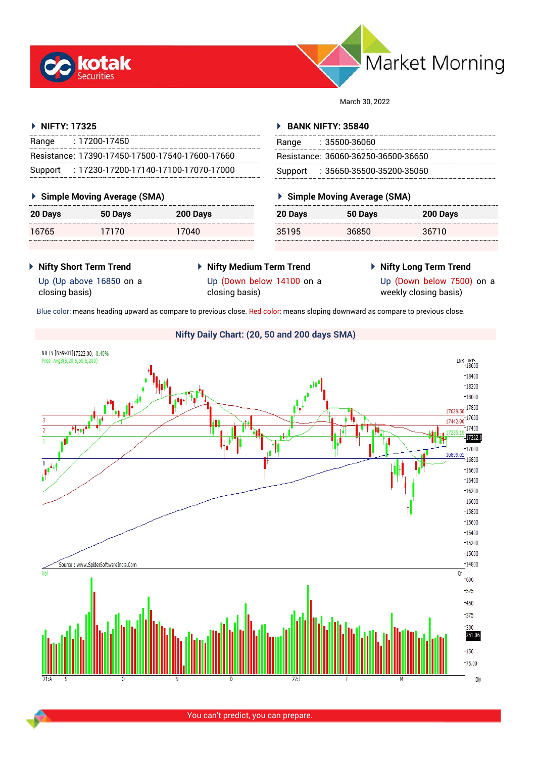



March 30, 2022

## **NIFTY: 17325**

| Range   | $: 17200 - 17450$                                 |  |
|---------|---------------------------------------------------|--|
|         | Resistance: 17390-17450-17500-17540-17600-17660   |  |
| Support | $: 17230 - 17200 - 17140 - 17100 - 17070 - 17000$ |  |

## **Simple Moving Average (SMA)**

| 20 Days | 50 Days | 200 Days |
|---------|---------|----------|
| 16765   | 17170   | 17040    |

## **BANK NIFTY: 35840**

| Range | : 35500-36060                       |
|-------|-------------------------------------|
|       | Resistance: 36060-36250-36500-36650 |
|       | Support: 35650-35500-35200-35050    |

# **Simple Moving Average (SMA)**

| 20 Days | 50 Days | 200 Days |
|---------|---------|----------|
| 35195   | 36850   | 36710    |

- **Nifty Short Term Trend**
- **Nifty Medium Term Trend**
- **Nifty Long Term Trend**

Up (Up above 16850 on a closing basis)

Up (Down below 14100 on a closing basis)

Up (Down below 7500) on a weekly closing basis)

Blue color: means heading upward as compare to previous close. Red color: means sloping downward as compare to previous close.



You can't predict, you can prepare.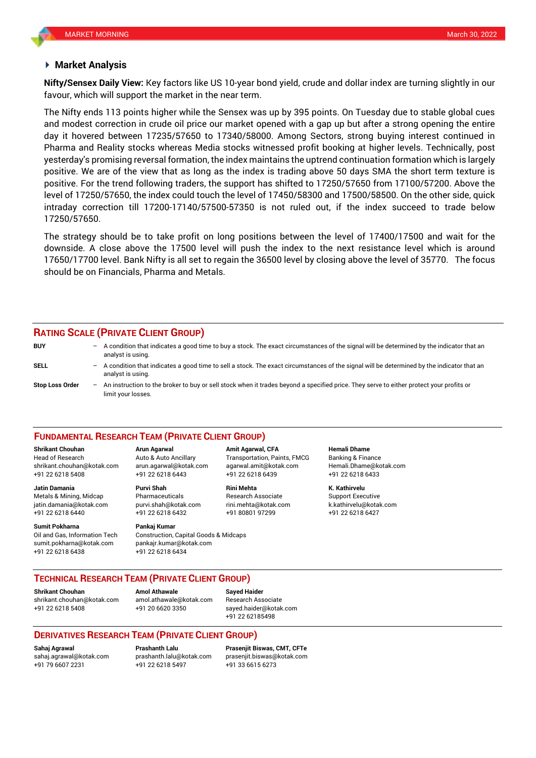### **Market Analysis**

favour, which will support the market in the near term. **Nifty/Sensex Daily View:** Key factors like US 10-year bond yield, crude and dollar index are turning slightly in our

The Nifty ends 113 points higher while the Sensex was up by 395 points. On Tuesday due to stable global cues and modest correction in crude oil price our market opened with a gap up but after a strong opening the entire day it hovered between 17235/57650 to 17340/58000. Among Sectors, strong buying interest continued in Pharma and Reality stocks whereas Media stocks witnessed profit booking at higher levels. Technically, post yesterday's promising reversal formation, the index maintains the uptrend continuation formation which is largely positive. We are of the view that as long as the index is trading above 50 days SMA the short term texture is positive. For the trend following traders, the support has shifted to 17250/57650 from 17100/57200. Above the level of 17250/57650, the index could touch the level of 17450/58300 and 17500/58500. On the other side, quick intraday correction till 17200-17140/57500-57350 is not ruled out, if the index succeed to trade below 17250/57650.

The strategy should be to take profit on long positions between the level of 17400/17500 and wait for the downside. A close above the 17500 level will push the index to the next resistance level which is around 17650/17700 level. Bank Nifty is all set to regain the 36500 level by closing above the level of 35770. The focus should be on Financials, Pharma and Metals.

## **RATING SCALE (PRIVATE CLIENT GROUP)**

| <b>BUY</b>             |     | A condition that indicates a good time to buy a stock. The exact circumstances of the signal will be determined by the indicator that an<br>analyst is using.  |
|------------------------|-----|----------------------------------------------------------------------------------------------------------------------------------------------------------------|
| <b>SELL</b>            | $-$ | A condition that indicates a good time to sell a stock. The exact circumstances of the signal will be determined by the indicator that an<br>analyst is using. |
| <b>Stop Loss Order</b> |     | An instruction to the broker to buy or sell stock when it trades beyond a specified price. They serve to either protect your profits or<br>limit your losses.  |

#### **FUNDAMENTAL RESEARCH TEAM (PRIVATE CLIENT GROUP)**

Head of Research Auto & Auto Ancillary Transportation, Paints, FMCG Banking & Finance [shrikant.chouhan@kotak.com](mailto:shrikant.chouhan@kotak.com) arun.agarwal@kotak.com agarwal.amit@kotak.com Hemali.Dhame@kotak.com

**Jatin Damania Purvi Shah Rini Mehta K. Kathirvelu** Metals & Mining, Midcap Pharmaceuticals Research Associate Support Executive jatin.damania@kotak.com [purvi.shah@kotak.com](mailto:purvi.shah@kotak.com) rini.mehta@kotak.com [k.kathirvelu@kotak.com](mailto:k.kathirvelu@kotak.com) +91 22 6218 6440 +91 22 6218 6432 +91 80801 97299 +91 22 6218 6427

**Sumit Pokharna** Pankaj Kumar Oil and Gas, Information Tech Construction, Capital Goods & Midcaps sumit.pokharna@kotak.com pankajr.kumar@kotak.com +91 22 6218 6438 +91 22 6218 6434

**Shrikant Chouhan Arun Agarwal Amit Agarwal, CFA Hemali Dhame** +91 22 6218 5408 +91 22 6218 6443 +91 22 6218 6439 +91 22 6218 6433

## **TECHNICAL RESEARCH TEAM (PRIVATE CLIENT GROUP)**

**Shrikant Chouhan Amol Athawale Sayed Haider**

[shrikant.chouhan@kotak.com](mailto:shrikant.chouhan@kotak.com) [amol.athawale@kotak.com](mailto:amol.athawale@kotak.com) Research Associate +91 22 6218 5408 +91 20 6620 3350 [sayed.haider@kotak.com](mailto:sayed.haider@kotak.com)

+91 22 62185498

## **DERIVATIVES RESEARCH TEAM (PRIVATE CLIENT GROUP)**

+91 79 6607 2231 +91 22 6218 5497 +91 33 6615 6273

**Sahaj Agrawal Prashanth Lalu Prasenjit Biswas, CMT, CFTe** [sahaj.agrawal@kotak.com](mailto:sahaj.agrawal@kotak.com) [prashanth.lalu@kotak.com](mailto:prashanth.lalu@kotak.com) [prasenjit.biswas@kotak.com](mailto:prasenjit.biswas@kotak.com)